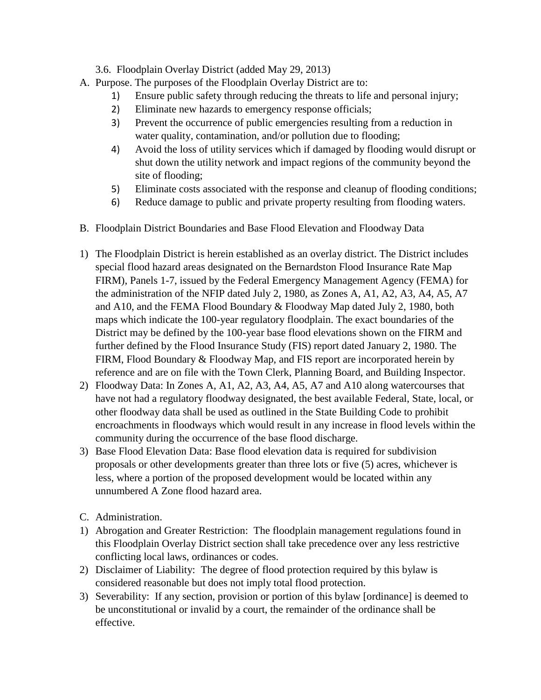3.6. Floodplain Overlay District (added May 29, 2013)

- A. Purpose. The purposes of the Floodplain Overlay District are to:
	- 1) Ensure public safety through reducing the threats to life and personal injury;
	- 2) Eliminate new hazards to emergency response officials;
	- 3) Prevent the occurrence of public emergencies resulting from a reduction in water quality, contamination, and/or pollution due to flooding;
	- 4) Avoid the loss of utility services which if damaged by flooding would disrupt or shut down the utility network and impact regions of the community beyond the site of flooding;
	- 5) Eliminate costs associated with the response and cleanup of flooding conditions;
	- 6) Reduce damage to public and private property resulting from flooding waters.
- B. Floodplain District Boundaries and Base Flood Elevation and Floodway Data
- 1) The Floodplain District is herein established as an overlay district. The District includes special flood hazard areas designated on the Bernardston Flood Insurance Rate Map FIRM), Panels 1-7, issued by the Federal Emergency Management Agency (FEMA) for the administration of the NFIP dated July 2, 1980, as Zones A, A1, A2, A3, A4, A5, A7 and A10, and the FEMA Flood Boundary & Floodway Map dated July 2, 1980, both maps which indicate the 100-year regulatory floodplain. The exact boundaries of the District may be defined by the 100-year base flood elevations shown on the FIRM and further defined by the Flood Insurance Study (FIS) report dated January 2, 1980. The FIRM, Flood Boundary & Floodway Map, and FIS report are incorporated herein by reference and are on file with the Town Clerk, Planning Board, and Building Inspector.
- 2) Floodway Data: In Zones A, A1, A2, A3, A4, A5, A7 and A10 along watercourses that have not had a regulatory floodway designated, the best available Federal, State, local, or other floodway data shall be used as outlined in the State Building Code to prohibit encroachments in floodways which would result in any increase in flood levels within the community during the occurrence of the base flood discharge.
- 3) Base Flood Elevation Data: Base flood elevation data is required for subdivision proposals or other developments greater than three lots or five (5) acres, whichever is less, where a portion of the proposed development would be located within any unnumbered A Zone flood hazard area.
- C. Administration.
- 1) Abrogation and Greater Restriction: The floodplain management regulations found in this Floodplain Overlay District section shall take precedence over any less restrictive conflicting local laws, ordinances or codes.
- 2) Disclaimer of Liability: The degree of flood protection required by this bylaw is considered reasonable but does not imply total flood protection.
- 3) Severability: If any section, provision or portion of this bylaw [ordinance] is deemed to be unconstitutional or invalid by a court, the remainder of the ordinance shall be effective.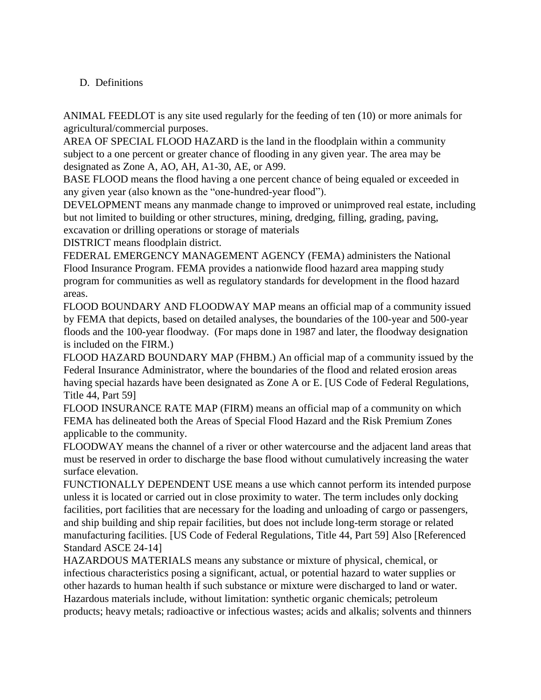## D. Definitions

ANIMAL FEEDLOT is any site used regularly for the feeding of ten (10) or more animals for agricultural/commercial purposes.

AREA OF SPECIAL FLOOD HAZARD is the land in the floodplain within a community subject to a one percent or greater chance of flooding in any given year. The area may be designated as Zone A, AO, AH, A1-30, AE, or A99.

BASE FLOOD means the flood having a one percent chance of being equaled or exceeded in any given year (also known as the "one-hundred-year flood").

DEVELOPMENT means any manmade change to improved or unimproved real estate, including but not limited to building or other structures, mining, dredging, filling, grading, paving, excavation or drilling operations or storage of materials

DISTRICT means floodplain district.

FEDERAL EMERGENCY MANAGEMENT AGENCY (FEMA) administers the National Flood Insurance Program. FEMA provides a nationwide flood hazard area mapping study program for communities as well as regulatory standards for development in the flood hazard areas.

FLOOD BOUNDARY AND FLOODWAY MAP means an official map of a community issued by FEMA that depicts, based on detailed analyses, the boundaries of the 100-year and 500-year floods and the 100-year floodway. (For maps done in 1987 and later, the floodway designation is included on the FIRM.)

FLOOD HAZARD BOUNDARY MAP (FHBM.) An official map of a community issued by the Federal Insurance Administrator, where the boundaries of the flood and related erosion areas having special hazards have been designated as Zone A or E. [US Code of Federal Regulations, Title 44, Part 59]

FLOOD INSURANCE RATE MAP (FIRM) means an official map of a community on which FEMA has delineated both the Areas of Special Flood Hazard and the Risk Premium Zones applicable to the community.

FLOODWAY means the channel of a river or other watercourse and the adjacent land areas that must be reserved in order to discharge the base flood without cumulatively increasing the water surface elevation.

FUNCTIONALLY DEPENDENT USE means a use which cannot perform its intended purpose unless it is located or carried out in close proximity to water. The term includes only docking facilities, port facilities that are necessary for the loading and unloading of cargo or passengers, and ship building and ship repair facilities, but does not include long-term storage or related manufacturing facilities. [US Code of Federal Regulations, Title 44, Part 59] Also [Referenced Standard ASCE 24-14]

HAZARDOUS MATERIALS means any substance or mixture of physical, chemical, or infectious characteristics posing a significant, actual, or potential hazard to water supplies or other hazards to human health if such substance or mixture were discharged to land or water. Hazardous materials include, without limitation: synthetic organic chemicals; petroleum products; heavy metals; radioactive or infectious wastes; acids and alkalis; solvents and thinners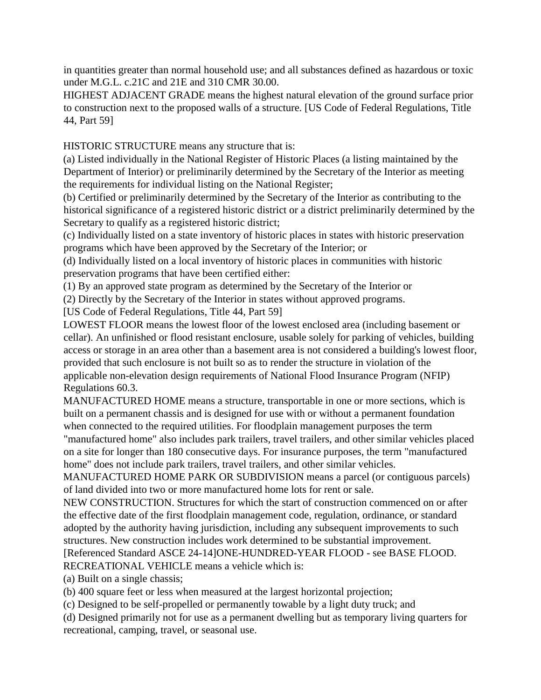in quantities greater than normal household use; and all substances defined as hazardous or toxic under M.G.L. c.21C and 21E and 310 CMR 30.00.

HIGHEST ADJACENT GRADE means the highest natural elevation of the ground surface prior to construction next to the proposed walls of a structure. [US Code of Federal Regulations, Title 44, Part 59]

HISTORIC STRUCTURE means any structure that is:

(a) Listed individually in the National Register of Historic Places (a listing maintained by the Department of Interior) or preliminarily determined by the Secretary of the Interior as meeting the requirements for individual listing on the National Register;

(b) Certified or preliminarily determined by the Secretary of the Interior as contributing to the historical significance of a registered historic district or a district preliminarily determined by the Secretary to qualify as a registered historic district;

(c) Individually listed on a state inventory of historic places in states with historic preservation programs which have been approved by the Secretary of the Interior; or

(d) Individually listed on a local inventory of historic places in communities with historic preservation programs that have been certified either:

(1) By an approved state program as determined by the Secretary of the Interior or

(2) Directly by the Secretary of the Interior in states without approved programs.

[US Code of Federal Regulations, Title 44, Part 59]

LOWEST FLOOR means the lowest floor of the lowest enclosed area (including basement or cellar). An unfinished or flood resistant enclosure, usable solely for parking of vehicles, building access or storage in an area other than a basement area is not considered a building's lowest floor, provided that such enclosure is not built so as to render the structure in violation of the applicable non-elevation design requirements of National Flood Insurance Program (NFIP) Regulations 60.3.

MANUFACTURED HOME means a structure, transportable in one or more sections, which is built on a permanent chassis and is designed for use with or without a permanent foundation when connected to the required utilities. For floodplain management purposes the term "manufactured home" also includes park trailers, travel trailers, and other similar vehicles placed

on a site for longer than 180 consecutive days. For insurance purposes, the term "manufactured home" does not include park trailers, travel trailers, and other similar vehicles.

MANUFACTURED HOME PARK OR SUBDIVISION means a parcel (or contiguous parcels) of land divided into two or more manufactured home lots for rent or sale.

NEW CONSTRUCTION. Structures for which the start of construction commenced on or after the effective date of the first floodplain management code, regulation, ordinance, or standard adopted by the authority having jurisdiction, including any subsequent improvements to such structures. New construction includes work determined to be substantial improvement.

[Referenced Standard ASCE 24-14]ONE-HUNDRED-YEAR FLOOD - see BASE FLOOD.

RECREATIONAL VEHICLE means a vehicle which is:

(a) Built on a single chassis;

(b) 400 square feet or less when measured at the largest horizontal projection;

(c) Designed to be self-propelled or permanently towable by a light duty truck; and

(d) Designed primarily not for use as a permanent dwelling but as temporary living quarters for recreational, camping, travel, or seasonal use.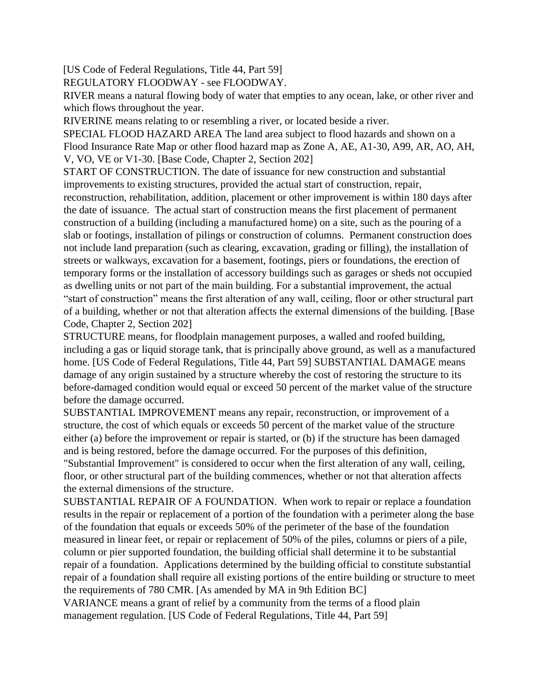[US Code of Federal Regulations, Title 44, Part 59]

REGULATORY FLOODWAY - see FLOODWAY.

RIVER means a natural flowing body of water that empties to any ocean, lake, or other river and which flows throughout the year.

RIVERINE means relating to or resembling a river, or located beside a river.

SPECIAL FLOOD HAZARD AREA The land area subject to flood hazards and shown on a Flood Insurance Rate Map or other flood hazard map as Zone A, AE, A1-30, A99, AR, AO, AH, V, VO, VE or V1-30. [Base Code, Chapter 2, Section 202]

START OF CONSTRUCTION. The date of issuance for new construction and substantial improvements to existing structures, provided the actual start of construction, repair, reconstruction, rehabilitation, addition, placement or other improvement is within 180 days after the date of issuance. The actual start of construction means the first placement of permanent construction of a building (including a manufactured home) on a site, such as the pouring of a slab or footings, installation of pilings or construction of columns. Permanent construction does not include land preparation (such as clearing, excavation, grading or filling), the installation of streets or walkways, excavation for a basement, footings, piers or foundations, the erection of temporary forms or the installation of accessory buildings such as garages or sheds not occupied as dwelling units or not part of the main building. For a substantial improvement, the actual "start of construction" means the first alteration of any wall, ceiling, floor or other structural part of a building, whether or not that alteration affects the external dimensions of the building. [Base Code, Chapter 2, Section 202]

STRUCTURE means, for floodplain management purposes, a walled and roofed building, including a gas or liquid storage tank, that is principally above ground, as well as a manufactured home. [US Code of Federal Regulations, Title 44, Part 59] SUBSTANTIAL DAMAGE means damage of any origin sustained by a structure whereby the cost of restoring the structure to its before-damaged condition would equal or exceed 50 percent of the market value of the structure before the damage occurred.

SUBSTANTIAL IMPROVEMENT means any repair, reconstruction, or improvement of a structure, the cost of which equals or exceeds 50 percent of the market value of the structure either (a) before the improvement or repair is started, or (b) if the structure has been damaged and is being restored, before the damage occurred. For the purposes of this definition, "Substantial Improvement" is considered to occur when the first alteration of any wall, ceiling, floor, or other structural part of the building commences, whether or not that alteration affects the external dimensions of the structure.

SUBSTANTIAL REPAIR OF A FOUNDATION. When work to repair or replace a foundation results in the repair or replacement of a portion of the foundation with a perimeter along the base of the foundation that equals or exceeds 50% of the perimeter of the base of the foundation measured in linear feet, or repair or replacement of 50% of the piles, columns or piers of a pile, column or pier supported foundation, the building official shall determine it to be substantial repair of a foundation. Applications determined by the building official to constitute substantial repair of a foundation shall require all existing portions of the entire building or structure to meet the requirements of 780 CMR. [As amended by MA in 9th Edition BC]

VARIANCE means a grant of relief by a community from the terms of a flood plain management regulation. [US Code of Federal Regulations, Title 44, Part 59]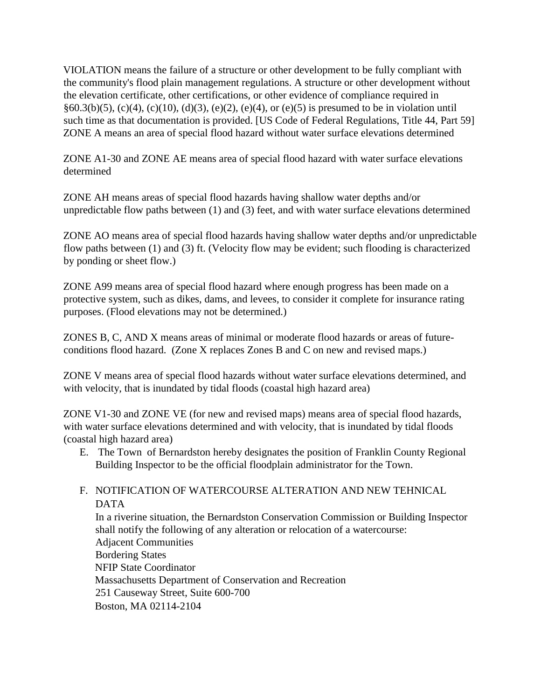VIOLATION means the failure of a structure or other development to be fully compliant with the community's flood plain management regulations. A structure or other development without the elevation certificate, other certifications, or other evidence of compliance required in §60.3(b)(5), (c)(4), (c)(10), (d)(3), (e)(2), (e)(4), or (e)(5) is presumed to be in violation until such time as that documentation is provided. [US Code of Federal Regulations, Title 44, Part 59] ZONE A means an area of special flood hazard without water surface elevations determined

ZONE A1-30 and ZONE AE means area of special flood hazard with water surface elevations determined

ZONE AH means areas of special flood hazards having shallow water depths and/or unpredictable flow paths between (1) and (3) feet, and with water surface elevations determined

ZONE AO means area of special flood hazards having shallow water depths and/or unpredictable flow paths between (1) and (3) ft. (Velocity flow may be evident; such flooding is characterized by ponding or sheet flow.)

ZONE A99 means area of special flood hazard where enough progress has been made on a protective system, such as dikes, dams, and levees, to consider it complete for insurance rating purposes. (Flood elevations may not be determined.)

ZONES B, C, AND X means areas of minimal or moderate flood hazards or areas of futureconditions flood hazard. (Zone X replaces Zones B and C on new and revised maps.)

ZONE V means area of special flood hazards without water surface elevations determined, and with velocity, that is inundated by tidal floods (coastal high hazard area)

ZONE V1-30 and ZONE VE (for new and revised maps) means area of special flood hazards, with water surface elevations determined and with velocity, that is inundated by tidal floods (coastal high hazard area)

E. The Town of Bernardston hereby designates the position of Franklin County Regional Building Inspector to be the official floodplain administrator for the Town.

## F. NOTIFICATION OF WATERCOURSE ALTERATION AND NEW TEHNICAL DATA

In a riverine situation, the Bernardston Conservation Commission or Building Inspector shall notify the following of any alteration or relocation of a watercourse: Adjacent Communities Bordering States NFIP State Coordinator Massachusetts Department of Conservation and Recreation 251 Causeway Street, Suite 600-700 Boston, MA 02114-2104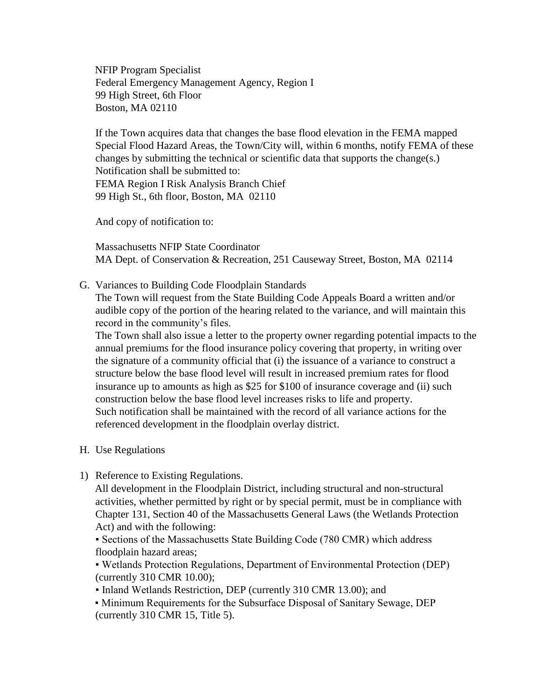NFIP Program Specialist Federal Emergency Management Agency, Region I 99 High Street, 6th Floor Boston, MA 02110

If the Town acquires data that changes the base flood elevation in the FEMA mapped Special Flood Hazard Areas, the Town/City will, within 6 months, notify FEMA of these changes by submitting the technical or scientific data that supports the change(s.) Notification shall be submitted to: FEMA Region I Risk Analysis Branch Chief 99 High St., 6th floor, Boston, MA 02110

And copy of notification to:

Massachusetts NFIP State Coordinator MA Dept. of Conservation & Recreation, 251 Causeway Street, Boston, MA 02114

G. Variances to Building Code Floodplain Standards

The Town will request from the State Building Code Appeals Board a written and/or audible copy of the portion of the hearing related to the variance, and will maintain this record in the community's files.

The Town shall also issue a letter to the property owner regarding potential impacts to the annual premiums for the flood insurance policy covering that property, in writing over the signature of a community official that (i) the issuance of a variance to construct a structure below the base flood level will result in increased premium rates for flood insurance up to amounts as high as \$25 for \$100 of insurance coverage and (ii) such construction below the base flood level increases risks to life and property. Such notification shall be maintained with the record of all variance actions for the referenced development in the floodplain overlay district.

- H. Use Regulations
- 1) Reference to Existing Regulations.

All development in the Floodplain District, including structural and non-structural activities, whether permitted by right or by special permit, must be in compliance with Chapter 131, Section 40 of the Massachusetts General Laws (the Wetlands Protection Act) and with the following:

▪ Sections of the Massachusetts State Building Code (780 CMR) which address floodplain hazard areas;

▪ Wetlands Protection Regulations, Department of Environmental Protection (DEP) (currently 310 CMR 10.00);

▪ Inland Wetlands Restriction, DEP (currently 310 CMR 13.00); and

▪ Minimum Requirements for the Subsurface Disposal of Sanitary Sewage, DEP (currently 310 CMR 15, Title 5).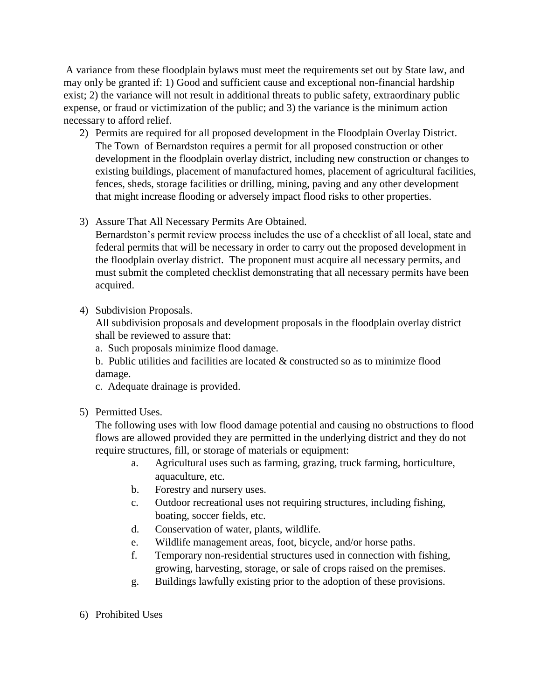A variance from these floodplain bylaws must meet the requirements set out by State law, and may only be granted if: 1) Good and sufficient cause and exceptional non-financial hardship exist; 2) the variance will not result in additional threats to public safety, extraordinary public expense, or fraud or victimization of the public; and 3) the variance is the minimum action necessary to afford relief.

- 2) Permits are required for all proposed development in the Floodplain Overlay District. The Town of Bernardston requires a permit for all proposed construction or other development in the floodplain overlay district, including new construction or changes to existing buildings, placement of manufactured homes, placement of agricultural facilities, fences, sheds, storage facilities or drilling, mining, paving and any other development that might increase flooding or adversely impact flood risks to other properties.
- 3) Assure That All Necessary Permits Are Obtained.

Bernardston's permit review process includes the use of a checklist of all local, state and federal permits that will be necessary in order to carry out the proposed development in the floodplain overlay district. The proponent must acquire all necessary permits, and must submit the completed checklist demonstrating that all necessary permits have been acquired.

4) Subdivision Proposals.

All subdivision proposals and development proposals in the floodplain overlay district shall be reviewed to assure that:

- a. Such proposals minimize flood damage.
- b. Public utilities and facilities are located & constructed so as to minimize flood damage.
- c. Adequate drainage is provided.
- 5) Permitted Uses.

The following uses with low flood damage potential and causing no obstructions to flood flows are allowed provided they are permitted in the underlying district and they do not require structures, fill, or storage of materials or equipment:

- a. Agricultural uses such as farming, grazing, truck farming, horticulture, aquaculture, etc.
- b. Forestry and nursery uses.
- c. Outdoor recreational uses not requiring structures, including fishing, boating, soccer fields, etc.
- d. Conservation of water, plants, wildlife.
- e. Wildlife management areas, foot, bicycle, and/or horse paths.
- f. Temporary non-residential structures used in connection with fishing, growing, harvesting, storage, or sale of crops raised on the premises.
- g. Buildings lawfully existing prior to the adoption of these provisions.
- 6) Prohibited Uses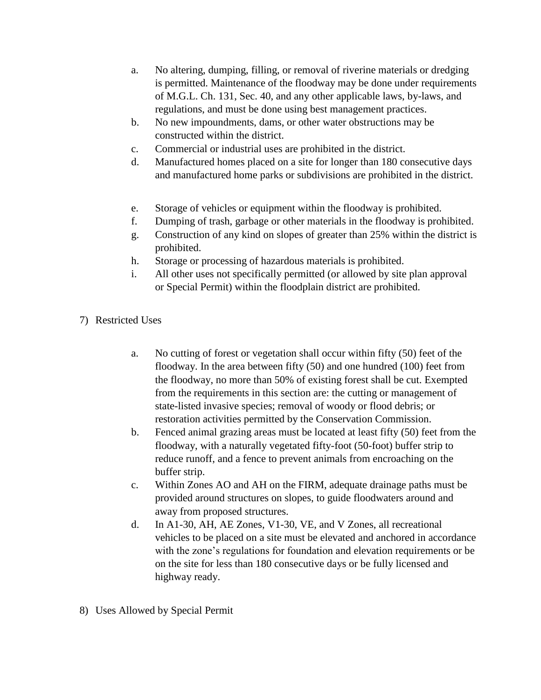- a. No altering, dumping, filling, or removal of riverine materials or dredging is permitted. Maintenance of the floodway may be done under requirements of M.G.L. Ch. 131, Sec. 40, and any other applicable laws, by-laws, and regulations, and must be done using best management practices.
- b. No new impoundments, dams, or other water obstructions may be constructed within the district.
- c. Commercial or industrial uses are prohibited in the district.
- d. Manufactured homes placed on a site for longer than 180 consecutive days and manufactured home parks or subdivisions are prohibited in the district.
- e. Storage of vehicles or equipment within the floodway is prohibited.
- f. Dumping of trash, garbage or other materials in the floodway is prohibited.
- g. Construction of any kind on slopes of greater than 25% within the district is prohibited.
- h. Storage or processing of hazardous materials is prohibited.
- i. All other uses not specifically permitted (or allowed by site plan approval or Special Permit) within the floodplain district are prohibited.
- 7) Restricted Uses
	- a. No cutting of forest or vegetation shall occur within fifty (50) feet of the floodway. In the area between fifty (50) and one hundred (100) feet from the floodway, no more than 50% of existing forest shall be cut. Exempted from the requirements in this section are: the cutting or management of state-listed invasive species; removal of woody or flood debris; or restoration activities permitted by the Conservation Commission.
	- b. Fenced animal grazing areas must be located at least fifty (50) feet from the floodway, with a naturally vegetated fifty-foot (50-foot) buffer strip to reduce runoff, and a fence to prevent animals from encroaching on the buffer strip.
	- c. Within Zones AO and AH on the FIRM, adequate drainage paths must be provided around structures on slopes, to guide floodwaters around and away from proposed structures.
	- d. In A1-30, AH, AE Zones, V1-30, VE, and V Zones, all recreational vehicles to be placed on a site must be elevated and anchored in accordance with the zone's regulations for foundation and elevation requirements or be on the site for less than 180 consecutive days or be fully licensed and highway ready.
- 8) Uses Allowed by Special Permit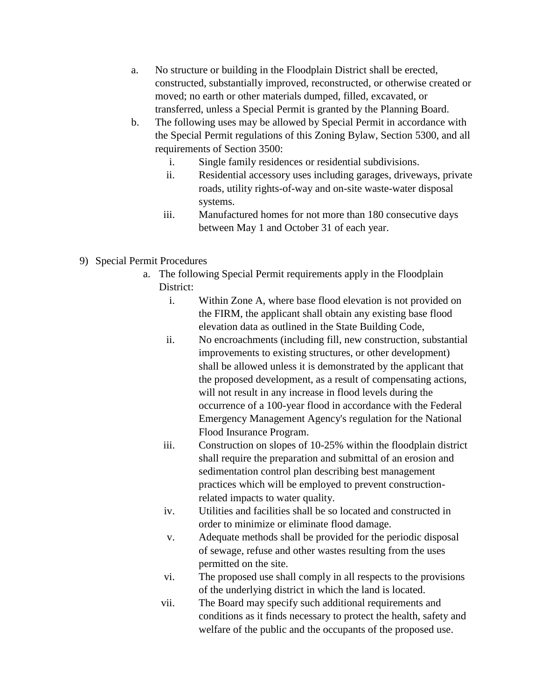- a. No structure or building in the Floodplain District shall be erected, constructed, substantially improved, reconstructed, or otherwise created or moved; no earth or other materials dumped, filled, excavated, or transferred, unless a Special Permit is granted by the Planning Board.
- b. The following uses may be allowed by Special Permit in accordance with the Special Permit regulations of this Zoning Bylaw, Section 5300, and all requirements of Section 3500:
	- i. Single family residences or residential subdivisions.
	- ii. Residential accessory uses including garages, driveways, private roads, utility rights-of-way and on-site waste-water disposal systems.
	- iii. Manufactured homes for not more than 180 consecutive days between May 1 and October 31 of each year.
- 9) Special Permit Procedures
	- a. The following Special Permit requirements apply in the Floodplain District:
		- i. Within Zone A, where base flood elevation is not provided on the FIRM, the applicant shall obtain any existing base flood elevation data as outlined in the State Building Code,
		- ii. No encroachments (including fill, new construction, substantial improvements to existing structures, or other development) shall be allowed unless it is demonstrated by the applicant that the proposed development, as a result of compensating actions, will not result in any increase in flood levels during the occurrence of a 100-year flood in accordance with the Federal Emergency Management Agency's regulation for the National Flood Insurance Program.
		- iii. Construction on slopes of 10-25% within the floodplain district shall require the preparation and submittal of an erosion and sedimentation control plan describing best management practices which will be employed to prevent constructionrelated impacts to water quality.
		- iv. Utilities and facilities shall be so located and constructed in order to minimize or eliminate flood damage.
		- v. Adequate methods shall be provided for the periodic disposal of sewage, refuse and other wastes resulting from the uses permitted on the site.
		- vi. The proposed use shall comply in all respects to the provisions of the underlying district in which the land is located.
		- vii. The Board may specify such additional requirements and conditions as it finds necessary to protect the health, safety and welfare of the public and the occupants of the proposed use.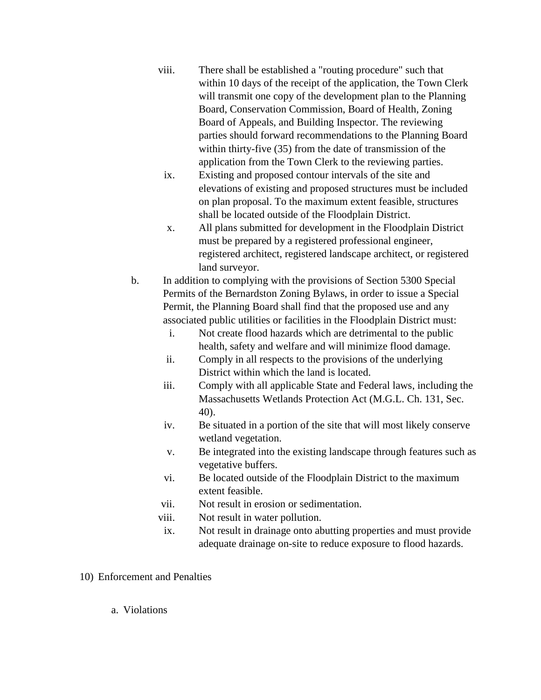- viii. There shall be established a "routing procedure" such that within 10 days of the receipt of the application, the Town Clerk will transmit one copy of the development plan to the Planning Board, Conservation Commission, Board of Health, Zoning Board of Appeals, and Building Inspector. The reviewing parties should forward recommendations to the Planning Board within thirty-five (35) from the date of transmission of the application from the Town Clerk to the reviewing parties.
	- ix. Existing and proposed contour intervals of the site and elevations of existing and proposed structures must be included on plan proposal. To the maximum extent feasible, structures shall be located outside of the Floodplain District.
	- x. All plans submitted for development in the Floodplain District must be prepared by a registered professional engineer, registered architect, registered landscape architect, or registered land surveyor.

b. In addition to complying with the provisions of Section 5300 Special Permits of the Bernardston Zoning Bylaws, in order to issue a Special Permit, the Planning Board shall find that the proposed use and any associated public utilities or facilities in the Floodplain District must:

- i. Not create flood hazards which are detrimental to the public health, safety and welfare and will minimize flood damage.
- ii. Comply in all respects to the provisions of the underlying District within which the land is located.
- iii. Comply with all applicable State and Federal laws, including the Massachusetts Wetlands Protection Act (M.G.L. Ch. 131, Sec. 40).
- iv. Be situated in a portion of the site that will most likely conserve wetland vegetation.
- v. Be integrated into the existing landscape through features such as vegetative buffers.
- vi. Be located outside of the Floodplain District to the maximum extent feasible.
- vii. Not result in erosion or sedimentation.
- viii. Not result in water pollution.
- ix. Not result in drainage onto abutting properties and must provide adequate drainage on-site to reduce exposure to flood hazards.
- 10) Enforcement and Penalties
	- a. Violations